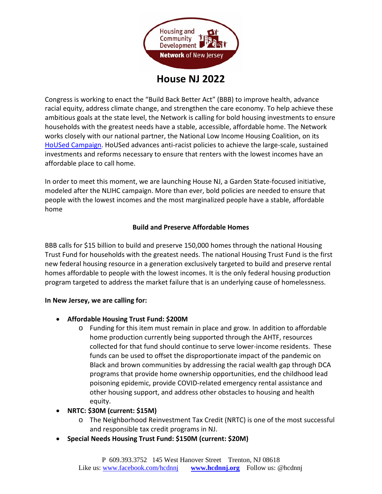

**House NJ 2022**

Congress is working to enact the "Build Back Better Act" (BBB) to improve health, advance racial equity, address climate change, and strengthen the care economy. To help achieve these ambitious goals at the state level, the Network is calling for bold housing investments to ensure households with the greatest needs have a stable, accessible, affordable home. The Network works closely with our national partner, the National Low Income Housing Coalition, on its [HoUSed Campaign.](https://nlihc.org/housed) HoUSed advances anti-racist policies to achieve the large-scale, sustained investments and reforms necessary to ensure that renters with the lowest incomes have an affordable place to call home.

In order to meet this moment, we are launching House NJ, a Garden State-focused initiative, modeled after the NLIHC campaign. More than ever, bold policies are needed to ensure that people with the lowest incomes and the most marginalized people have a stable, affordable home

#### **Build and Preserve Affordable Homes**

BBB calls for \$15 billion to build and preserve 150,000 homes through the national Housing Trust Fund for households with the greatest needs. The national Housing Trust Fund is the first new federal housing resource in a generation exclusively targeted to build and preserve rental homes affordable to people with the lowest incomes. It is the only federal housing production program targeted to address the market failure that is an underlying cause of homelessness.

#### **In New Jersey, we are calling for:**

- **Affordable Housing Trust Fund: \$200M**
	- o Funding for this item must remain in place and grow. In addition to affordable home production currently being supported through the AHTF, resources collected for that fund should continue to serve lower-income residents. These funds can be used to offset the disproportionate impact of the pandemic on Black and brown communities by addressing the racial wealth gap through DCA programs that provide home ownership opportunities, end the childhood lead poisoning epidemic, provide COVID-related emergency rental assistance and other housing support, and address other obstacles to housing and health equity.
- **NRTC: \$30M (current: \$15M)**
	- o The Neighborhood Reinvestment Tax Credit (NRTC) is one of the most successful and responsible tax credit programs in NJ.
- **Special Needs Housing Trust Fund: \$150M (current: \$20M)**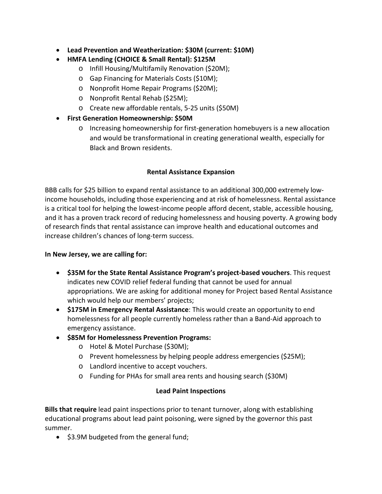- **Lead Prevention and Weatherization: \$30M (current: \$10M)**
- **HMFA Lending (CHOICE & Small Rental): \$125M**
	- o Infill Housing/Multifamily Renovation (\$20M);
	- o Gap Financing for Materials Costs (\$10M);
	- o Nonprofit Home Repair Programs (\$20M);
	- o Nonprofit Rental Rehab (\$25M);
	- o Create new affordable rentals, 5-25 units (\$50M)
- **First Generation Homeownership: \$50M**
	- o Increasing homeownership for first-generation homebuyers is a new allocation and would be transformational in creating generational wealth, especially for Black and Brown residents.

## **Rental Assistance Expansion**

BBB calls for \$25 billion to expand rental assistance to an additional 300,000 extremely lowincome households, including those experiencing and at risk of homelessness. Rental assistance is a critical tool for helping the lowest-income people afford decent, stable, accessible housing, and it has a proven track record of reducing homelessness and housing poverty. A growing body of research finds that rental assistance can improve health and educational outcomes and increase children's chances of long-term success.

#### **In New Jersey, we are calling for:**

- **\$35M for the State Rental Assistance Program's project-based vouchers**. This request indicates new COVID relief federal funding that cannot be used for annual appropriations. We are asking for additional money for Project based Rental Assistance which would help our members' projects;
- **\$175M in Emergency Rental Assistance**: This would create an opportunity to end homelessness for all people currently homeless rather than a Band-Aid approach to emergency assistance.
- **\$85M for Homelessness Prevention Programs:** 
	- o Hotel & Motel Purchase (\$30M);
	- o Prevent homelessness by helping people address emergencies (\$25M);
	- o Landlord incentive to accept vouchers.
	- o Funding for PHAs for small area rents and housing search (\$30M)

# **Lead Paint Inspections**

**Bills that require** lead paint inspections prior to tenant turnover, along with establishing educational programs about lead paint poisoning, were signed by the governor this past summer.

• \$3.9M budgeted from the general fund;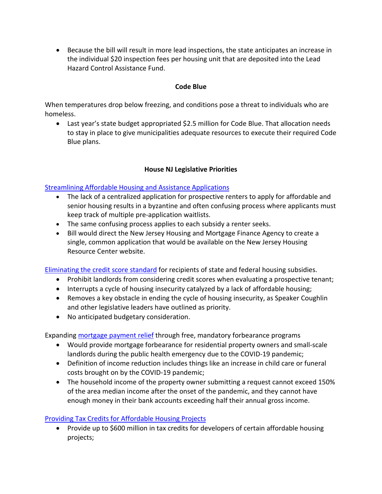• Because the bill will result in more lead inspections, the state anticipates an increase in the individual \$20 inspection fees per housing unit that are deposited into the Lead Hazard Control Assistance Fund.

#### **Code Blue**

When temperatures drop below freezing, and conditions pose a threat to individuals who are homeless.

• Last year's state budget appropriated \$2.5 million for Code Blue. That allocation needs to stay in place to give municipalities adequate resources to execute their required Code Blue plans.

## **House NJ Legislative Priorities**

### [Streamlining Affordable Housing and Assistance Applications](https://www.njleg.state.nj.us/bill-search/2020/S3038)

- The lack of a centralized application for prospective renters to apply for affordable and senior housing results in a byzantine and often confusing process where applicants must keep track of multiple pre-application waitlists.
- The same confusing process applies to each subsidy a renter seeks.
- Bill would direct the New Jersey Housing and Mortgage Finance Agency to create a single, common application that would be available on the New Jersey Housing Resource Center website.

**[Eliminating the credit score standard](https://www.njleg.state.nj.us/bill-search/2022/A669) for recipients of state and federal housing subsidies.** 

- Prohibit landlords from considering credit scores when evaluating a prospective tenant;
- Interrupts a cycle of housing insecurity catalyzed by a lack of affordable housing;
- Removes a key obstacle in ending the cycle of housing insecurity, as Speaker Coughlin and other legislative leaders have outlined as priority.
- No anticipated budgetary consideration.

Expanding [mortgage payment relief](https://www.njleg.state.nj.us/bill-search/2020/S3669) through free, mandatory forbearance programs

- Would provide mortgage forbearance for residential property owners and small-scale landlords during the public health emergency due to the COVID-19 pandemic;
- Definition of income reduction includes things like an increase in child care or funeral costs brought on by the COVID-19 pandemic;
- The household income of the property owner submitting a request cannot exceed 150% of the area median income after the onset of the pandemic, and they cannot have enough money in their bank accounts exceeding half their annual gross income.

## [Providing Tax Credits for Affordable Housing Projects](https://www.njleg.state.nj.us/bill-search/2020/S2260)

• Provide up to \$600 million in tax credits for developers of certain affordable housing projects;